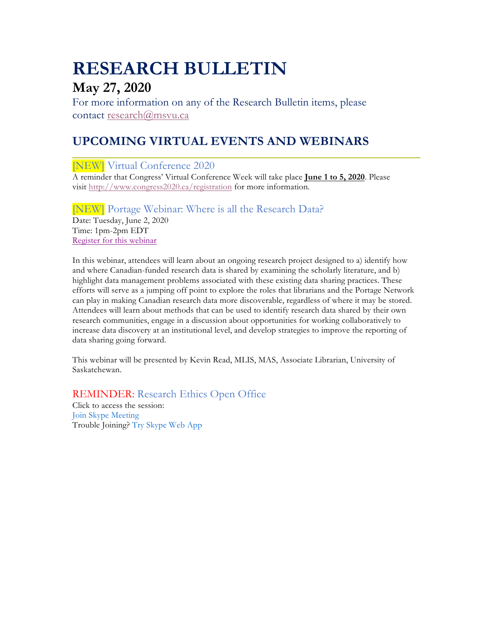# **RESEARCH BULLETIN**

# **May 27, 2020**

For more information on any of the Research Bulletin items, please contact research@msvu.ca

# **UPCOMING VIRTUAL EVENTS AND WEBINARS**

[NEW] Virtual Conference 2020

A reminder that Congress' Virtual Conference Week will take place **June 1 to 5, 2020**. Please visit http://www.congress2020.ca/registration for more information.

[NEW] Portage Webinar: Where is all the Research Data? Date: Tuesday, June 2, 2020 Time: 1pm-2pm EDT Register for this webinar

In this webinar, attendees will learn about an ongoing research project designed to a) identify how and where Canadian-funded research data is shared by examining the scholarly literature, and b) highlight data management problems associated with these existing data sharing practices. These efforts will serve as a jumping off point to explore the roles that librarians and the Portage Network can play in making Canadian research data more discoverable, regardless of where it may be stored. Attendees will learn about methods that can be used to identify research data shared by their own research communities, engage in a discussion about opportunities for working collaboratively to increase data discovery at an institutional level, and develop strategies to improve the reporting of data sharing going forward.

This webinar will be presented by Kevin Read, MLIS, MAS, Associate Librarian, University of Saskatchewan.

REMINDER: Research Ethics Open Office

Click to access the session: Join Skype Meeting Trouble Joining? Try Skype Web App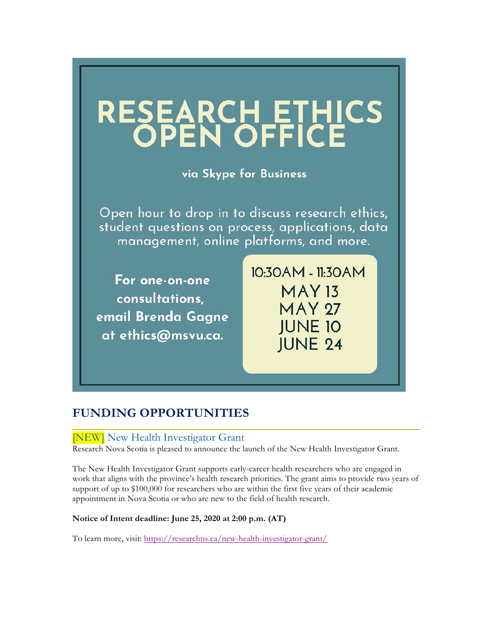

# **FUNDING OPPORTUNITIES**

### [NEW] New Health Investigator Grant

Research Nova Scotia is pleased to announce the launch of the New Health Investigator Grant.

The New Health Investigator Grant supports early-career health researchers who are engaged in work that aligns with the province's health research priorities. The grant aims to provide two years of support of up to \$100,000 for researchers who are within the first five years of their academic appointment in Nova Scotia or who are new to the field of health research.

#### **Notice of Intent deadline: June 25, 2020 at 2:00 p.m. (AT)**

To learn more, visit: https://researchns.ca/new-health-investigator-grant/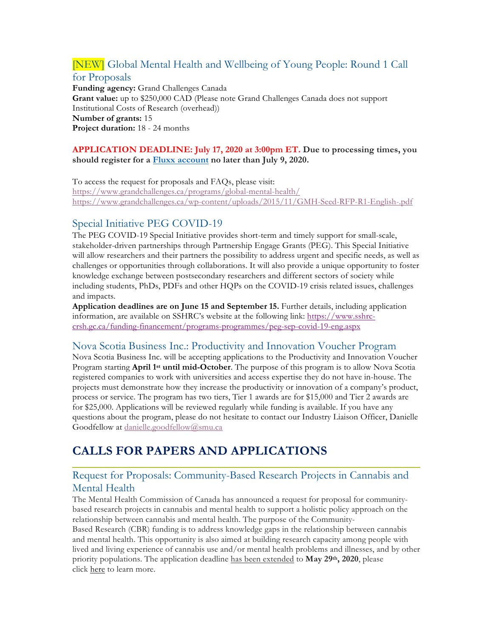# [NEW] Global Mental Health and Wellbeing of Young People: Round 1 Call for Proposals

**Funding agency:** Grand Challenges Canada **Grant value:** up to \$250,000 CAD (Please note Grand Challenges Canada does not support Institutional Costs of Research (overhead)) **Number of grants:** 15 **Project duration:** 18 - 24 months

#### **APPLICATION DEADLINE: July 17, 2020 at 3:00pm ET. Due to processing times, you should register for a Fluxx account no later than July 9, 2020.**

To access the request for proposals and FAQs, please visit: https://www.grandchallenges.ca/programs/global-mental-health/ https://www.grandchallenges.ca/wp-content/uploads/2015/11/GMH-Seed-RFP-R1-English-.pdf

# Special Initiative PEG COVID-19

The PEG COVID-19 Special Initiative provides short-term and timely support for small-scale, stakeholder-driven partnerships through Partnership Engage Grants (PEG). This Special Initiative will allow researchers and their partners the possibility to address urgent and specific needs, as well as challenges or opportunities through collaborations. It will also provide a unique opportunity to foster knowledge exchange between postsecondary researchers and different sectors of society while including students, PhDs, PDFs and other HQPs on the COVID-19 crisis related issues, challenges and impacts.

**Application deadlines are on June 15 and September 15.** Further details, including application information, are available on SSHRC's website at the following link: https://www.sshrccrsh.gc.ca/funding-financement/programs-programmes/peg-sep-covid-19-eng.aspx

### Nova Scotia Business Inc.: Productivity and Innovation Voucher Program

Nova Scotia Business Inc. will be accepting applications to the Productivity and Innovation Voucher Program starting **April 1st until mid-October**. The purpose of this program is to allow Nova Scotia registered companies to work with universities and access expertise they do not have in-house. The projects must demonstrate how they increase the productivity or innovation of a company's product, process or service. The program has two tiers, Tier 1 awards are for \$15,000 and Tier 2 awards are for \$25,000. Applications will be reviewed regularly while funding is available. If you have any questions about the program, please do not hesitate to contact our Industry Liaison Officer, Danielle Goodfellow at danielle.goodfellow@smu.ca

# **CALLS FOR PAPERS AND APPLICATIONS**

### Request for Proposals: Community-Based Research Projects in Cannabis and Mental Health

The Mental Health Commission of Canada has announced a request for proposal for communitybased research projects in cannabis and mental health to support a holistic policy approach on the relationship between cannabis and mental health. The purpose of the Community-

Based Research (CBR) funding is to address knowledge gaps in the relationship between cannabis and mental health. This opportunity is also aimed at building research capacity among people with lived and living experience of cannabis use and/or mental health problems and illnesses, and by other priority populations. The application deadline has been extended to **May 29th, 2020**, please click here to learn more.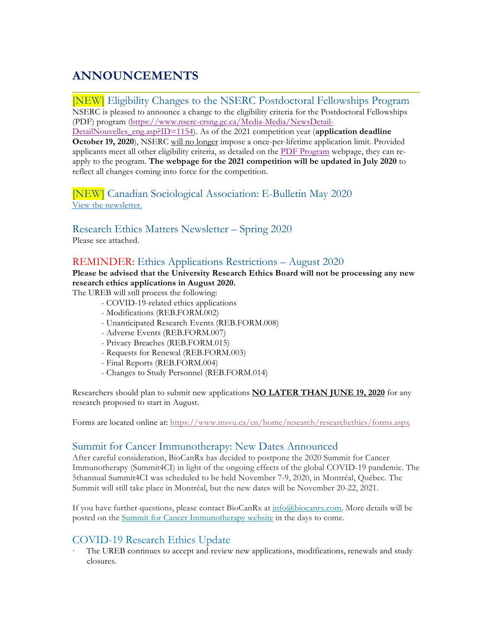# **ANNOUNCEMENTS**

[NEW] Eligibility Changes to the NSERC Postdoctoral Fellowships Program NSERC is pleased to announce a change to the eligibility criteria for the Postdoctoral Fellowships (PDF) program (https://www.nserc-crsng.gc.ca/Media-Media/NewsDetail-

DetailNouvelles\_eng.asp?ID=1154). As of the 2021 competition year (**application deadline October 19, 2020**), NSERC will no longer impose a once-per-lifetime application limit. Provided applicants meet all other eligibility criteria, as detailed on the PDF Program webpage, they can reapply to the program. **The webpage for the 2021 competition will be updated in July 2020** to reflect all changes coming into force for the competition.

[NEW] Canadian Sociological Association: E-Bulletin May 2020 View the newsletter.

Research Ethics Matters Newsletter – Spring 2020 Please see attached.

### REMINDER: Ethics Applications Restrictions – August 2020

**Please be advised that the University Research Ethics Board will not be processing any new research ethics applications in August 2020.**

The UREB will still process the following:

- COVID-19-related ethics applications
- Modifications (REB.FORM.002)
- Unanticipated Research Events (REB.FORM.008)
- Adverse Events (REB.FORM.007)
- Privacy Breaches (REB.FORM.015)
- Requests for Renewal (REB.FORM.003)
- Final Reports (REB.FORM.004)
- Changes to Study Personnel (REB.FORM.014)

Researchers should plan to submit new applications **NO LATER THAN JUNE 19, 2020** for any research proposed to start in August.

Forms are located online at: https://www.msvu.ca/en/home/research/researchethics/forms.aspx

### Summit for Cancer Immunotherapy: New Dates Announced

After careful consideration, BioCanRx has decided to postpone the 2020 Summit for Cancer Immunotherapy (Summit4CI) in light of the ongoing effects of the global COVID-19 pandemic. The 5thannual Summit4CI was scheduled to be held November 7-9, 2020, in Montréal, Québec. The Summit will still take place in Montréal, but the new dates will be November 20-22, 2021.

If you have further questions, please contact BioCanRx at info@biocanrx.com. More details will be posted on the Summit for Cancer Immunotherapy website in the days to come.

# COVID-19 Research Ethics Update

· The UREB continues to accept and review new applications, modifications, renewals and study closures.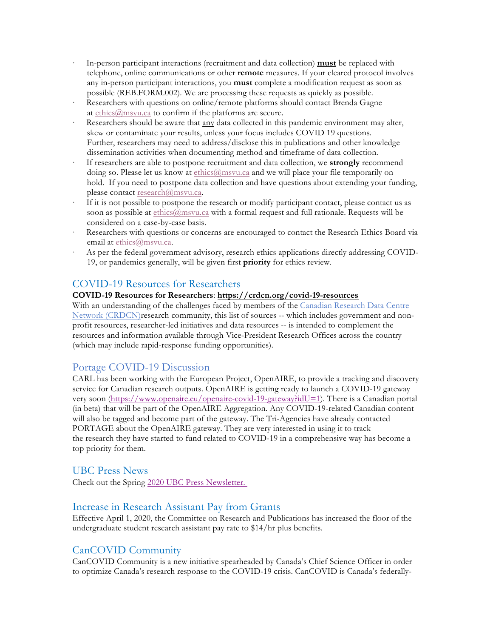- · In-person participant interactions (recruitment and data collection) **must** be replaced with telephone, online communications or other **remote** measures. If your cleared protocol involves any in-person participant interactions, you **must** complete a modification request as soon as possible (REB.FORM.002). We are processing these requests as quickly as possible.
- Researchers with questions on online/remote platforms should contact Brenda Gagne at ethics@msvu.ca to confirm if the platforms are secure.
- Researchers should be aware that any data collected in this pandemic environment may alter, skew or contaminate your results, unless your focus includes COVID 19 questions. Further, researchers may need to address/disclose this in publications and other knowledge dissemination activities when documenting method and timeframe of data collection.
- · If researchers are able to postpone recruitment and data collection, we **strongly** recommend doing so. Please let us know at ethics@msvu.ca and we will place your file temporarily on hold. If you need to postpone data collection and have questions about extending your funding, please contact research@msvu.ca.
- If it is not possible to postpone the research or modify participant contact, please contact us as soon as possible at ethics@msvu.ca with a formal request and full rationale. Requests will be considered on a case-by-case basis.
- Researchers with questions or concerns are encouraged to contact the Research Ethics Board via email at ethics@msvu.ca.
- As per the federal government advisory, research ethics applications directly addressing COVID-19, or pandemics generally, will be given first **priority** for ethics review.

### COVID-19 Resources for Researchers

#### **COVID-19 Resources for Researchers**: **https://crdcn.org/covid-19-resources**

With an understanding of the challenges faced by members of the Canadian Research Data Centre Network (CRDCN)research community, this list of sources -- which includes government and nonprofit resources, researcher-led initiatives and data resources -- is intended to complement the resources and information available through Vice-President Research Offices across the country (which may include rapid-response funding opportunities).

### Portage COVID-19 Discussion

CARL has been working with the European Project, OpenAIRE, to provide a tracking and discovery service for Canadian research outputs. OpenAIRE is getting ready to launch a COVID-19 gateway very soon (https://www.openaire.eu/openaire-covid-19-gateway?idU=1). There is a Canadian portal (in beta) that will be part of the OpenAIRE Aggregation. Any COVID-19-related Canadian content will also be tagged and become part of the gateway. The Tri-Agencies have already contacted PORTAGE about the OpenAIRE gateway. They are very interested in using it to track the research they have started to fund related to COVID-19 in a comprehensive way has become a top priority for them.

#### UBC Press News

Check out the Spring 2020 UBC Press Newsletter.

#### Increase in Research Assistant Pay from Grants

Effective April 1, 2020, the Committee on Research and Publications has increased the floor of the undergraduate student research assistant pay rate to \$14/hr plus benefits.

### CanCOVID Community

CanCOVID Community is a new initiative spearheaded by Canada's Chief Science Officer in order to optimize Canada's research response to the COVID-19 crisis. CanCOVID is Canada's federally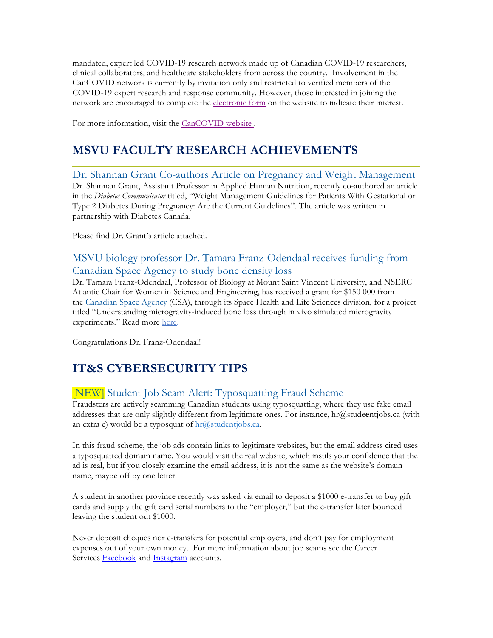mandated, expert led COVID-19 research network made up of Canadian COVID-19 researchers, clinical collaborators, and healthcare stakeholders from across the country. Involvement in the CanCOVID network is currently by invitation only and restricted to verified members of the COVID-19 expert research and response community. However, those interested in joining the network are encouraged to complete the electronic form on the website to indicate their interest.

For more information, visit the CanCOVID website.

# **MSVU FACULTY RESEARCH ACHIEVEMENTS**

Dr. Shannan Grant Co-authors Article on Pregnancy and Weight Management Dr. Shannan Grant, Assistant Professor in Applied Human Nutrition, recently co-authored an article in the *Diabetes Communicator* titled, "Weight Management Guidelines for Patients With Gestational or Type 2 Diabetes During Pregnancy: Are the Current Guidelines". The article was written in partnership with Diabetes Canada.

Please find Dr. Grant's article attached.

# MSVU biology professor Dr. Tamara Franz-Odendaal receives funding from Canadian Space Agency to study bone density loss

Dr. Tamara Franz-Odendaal, Professor of Biology at Mount Saint Vincent University, and NSERC Atlantic Chair for Women in Science and Engineering, has received a grant for \$150 000 from the Canadian Space Agency (CSA), through its Space Health and Life Sciences division, for a project titled "Understanding microgravity-induced bone loss through in vivo simulated microgravity experiments." Read more here.

Congratulations Dr. Franz-Odendaal!

# **IT&S CYBERSECURITY TIPS**

# [NEW] Student Job Scam Alert: Typosquatting Fraud Scheme

Fraudsters are actively scamming Canadian students using typosquatting, where they use fake email addresses that are only slightly different from legitimate ones. For instance, hr@stude**e**ntjobs.ca (with an extra e) would be a typosquat of  $hr@studentjobs.ca$ .

In this fraud scheme, the job ads contain links to legitimate websites, but the email address cited uses a typosquatted domain name. You would visit the real website, which instils your confidence that the ad is real, but if you closely examine the email address, it is not the same as the website's domain name, maybe off by one letter.

A student in another province recently was asked via email to deposit a \$1000 e-transfer to buy gift cards and supply the gift card serial numbers to the "employer," but the e-transfer later bounced leaving the student out \$1000.

Never deposit cheques nor e-transfers for potential employers, and don't pay for employment expenses out of your own money. For more information about job scams see the Career Services Facebook and Instagram accounts.